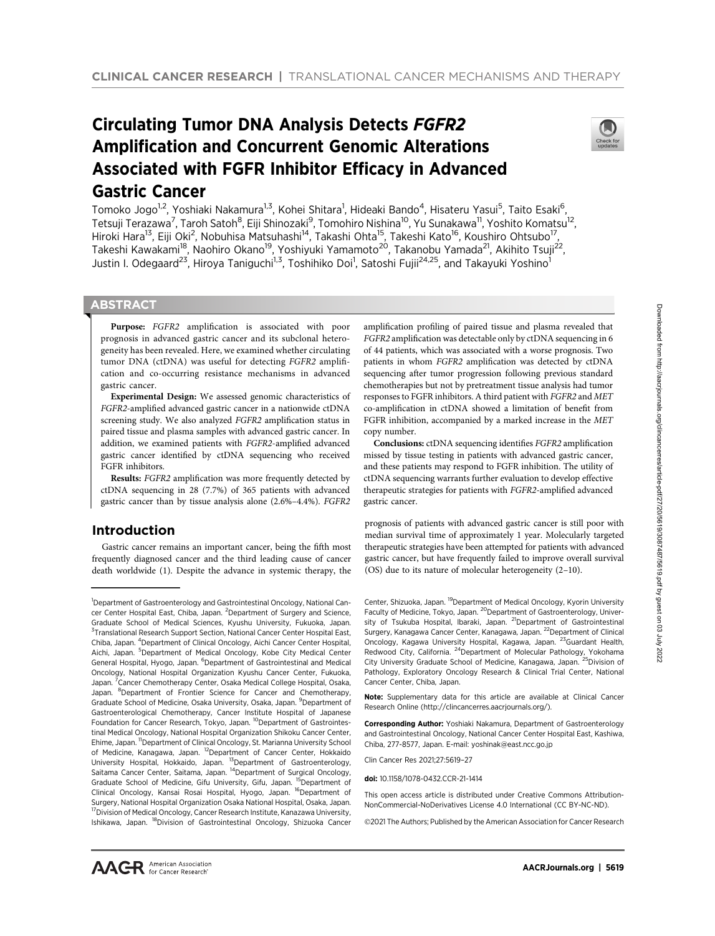# Circulating Tumor DNA Analysis Detects FGFR2 Amplification and Concurrent Genomic Alterations Associated with FGFR Inhibitor Efficacy in Advanced Gastric Cancer



Tomoko Jogo<sup>1,2</sup>, Yoshiaki Nakamura<sup>1,3</sup>, Kohei Shitara<sup>1</sup>, Hideaki Bando<sup>4</sup>, Hisateru Yasui<sup>5</sup>, Taito Esaki<sup>6</sup>, Tetsuji Terazawa<sup>7</sup>, Taroh Satoh<sup>8</sup>, Eiji Shinozaki<sup>9</sup>, Tomohiro Nishina<sup>10</sup>, Yu Sunakawa<sup>11</sup>, Yoshito Komatsu<sup>12</sup>, Hiroki Hara<sup>13</sup>, Eiji Oki<sup>2</sup>, Nobuhisa Matsuhashi<sup>14</sup>, Takashi Ohta<sup>15</sup>, Takeshi Kato<sup>16</sup>, Koushiro Ohtsubo<sup>17</sup>, Takeshi Kawakami<sup>18</sup>, Naohiro Okano<sup>19</sup>, Yoshiyuki Yamamoto<sup>20</sup>, Takanobu Yamada<sup>21</sup>, Akihito Tsuji<sup>22</sup>, Justin I. Odegaard<sup>23</sup>, Hiroya Taniguchi<sup>1,3</sup>, Toshihiko Doi<sup>1</sup>, Satoshi Fujii<sup>24,25</sup>, and Takayuki Yoshino<sup>1</sup>

# **ABSTRACT**

◥

Purpose: FGFR2 amplification is associated with poor prognosis in advanced gastric cancer and its subclonal heterogeneity has been revealed. Here, we examined whether circulating tumor DNA (ctDNA) was useful for detecting FGFR2 amplification and co-occurring resistance mechanisms in advanced gastric cancer.

Experimental Design: We assessed genomic characteristics of FGFR2-amplified advanced gastric cancer in a nationwide ctDNA screening study. We also analyzed FGFR2 amplification status in paired tissue and plasma samples with advanced gastric cancer. In addition, we examined patients with FGFR2-amplified advanced gastric cancer identified by ctDNA sequencing who received FGFR inhibitors.

Results: FGFR2 amplification was more frequently detected by ctDNA sequencing in 28 (7.7%) of 365 patients with advanced gastric cancer than by tissue analysis alone (2.6%–4.4%). FGFR2

# Introduction

Gastric cancer remains an important cancer, being the fifth most frequently diagnosed cancer and the third leading cause of cancer death worldwide (1). Despite the advance in systemic therapy, the

amplification profiling of paired tissue and plasma revealed that FGFR2 amplification was detectable only by ctDNA sequencing in 6 of 44 patients, which was associated with a worse prognosis. Two patients in whom FGFR2 amplification was detected by ctDNA sequencing after tumor progression following previous standard chemotherapies but not by pretreatment tissue analysis had tumor responses to FGFR inhibitors. A third patient with FGFR2 and MET co-amplification in ctDNA showed a limitation of benefit from FGFR inhibition, accompanied by a marked increase in the MET copy number.

Conclusions: ctDNA sequencing identifies FGFR2 amplification missed by tissue testing in patients with advanced gastric cancer, and these patients may respond to FGFR inhibition. The utility of ctDNA sequencing warrants further evaluation to develop effective therapeutic strategies for patients with FGFR2-amplified advanced gastric cancer.

prognosis of patients with advanced gastric cancer is still poor with median survival time of approximately 1 year. Molecularly targeted therapeutic strategies have been attempted for patients with advanced gastric cancer, but have frequently failed to improve overall survival (OS) due to its nature of molecular heterogeneity (2–10).

Center, Shizuoka, Japan. <sup>19</sup>Department of Medical Oncology, Kyorin University Faculty of Medicine, Tokyo, Japan. <sup>20</sup>Department of Gastroenterology, University of Tsukuba Hospital, Ibaraki, Japan. <sup>21</sup>Department of Gastrointestinal Surgery, Kanagawa Cancer Center, Kanagawa, Japan. <sup>22</sup> Department of Clinical Oncology, Kagawa University Hospital, Kagawa, Japan. <sup>23</sup>Guardant Health, Redwood City, California. 24Department of Molecular Pathology, Yokohama City University Graduate School of Medicine, Kanagawa, Japan. 25Division of Pathology, Exploratory Oncology Research & Clinical Trial Center, National Cancer Center, Chiba, Japan.

Note: Supplementary data for this article are available at Clinical Cancer Research Online (http://clincancerres.aacrjournals.org/).

Corresponding Author: Yoshiaki Nakamura, Department of Gastroenterology and Gastrointestinal Oncology, National Cancer Center Hospital East, Kashiwa, Chiba, 277-8577, Japan. E-mail: yoshinak@east.ncc.go.jp

Clin Cancer Res 2021;27:5619–27

This open access article is distributed under Creative Commons Attribution-NonCommercial-NoDerivatives License 4.0 International (CC BY-NC-ND).

2021 The Authors; Published by the American Association for Cancer Research

<sup>&</sup>lt;sup>1</sup>Department of Gastroenterology and Gastrointestinal Oncology, National Cancer Center Hospital East, Chiba, Japan. <sup>2</sup>Department of Surgery and Science, Graduate School of Medical Sciences, Kyushu University, Fukuoka, Japan. <sup>3</sup>Translational Research Support Section, National Cancer Center Hospital East, Chiba, Japan. <sup>4</sup>Department of Clinical Oncology, Aichi Cancer Center Hospital, Aichi, Japan. <sup>5</sup>Department of Medical Oncology, Kobe City Medical Center General Hospital, Hyogo, Japan. <sup>6</sup>Department of Gastrointestinal and Medical Oncology, National Hospital Organization Kyushu Cancer Center, Fukuoka, Japan.<sup>7</sup> Cancer Chemotherapy Center, Osaka Medical College Hospital, Osaka, Japan. <sup>8</sup>Department of Frontier Science for Cancer and Chemotherapy, Graduate School of Medicine, Osaka University, Osaka, Japan. <sup>9</sup>Department of Gastroenterological Chemotherapy, Cancer Institute Hospital of Japanese Foundation for Cancer Research, Tokyo, Japan. <sup>10</sup>Department of Gastrointestinal Medical Oncology, National Hospital Organization Shikoku Cancer Center, Ehime, Japan. 11Department of Clinical Oncology, St. Marianna University School of Medicine, Kanagawa, Japan. 12Department of Cancer Center, Hokkaido University Hospital, Hokkaido, Japan. <sup>13</sup>Department of Gastroenterology, Saitama Cancer Center, Saitama, Japan. 14Department of Surgical Oncology, Graduate School of Medicine, Gifu University, Gifu, Japan. <sup>15</sup>Department of Clinical Oncology, Kansai Rosai Hospital, Hyogo, Japan. <sup>16</sup>Department of Surgery, National Hospital Organization Osaka National Hospital, Osaka, Japan. <sup>17</sup> Division of Medical Oncology, Cancer Research Institute, Kanazawa University, Ishikawa, Japan. 18Division of Gastrointestinal Oncology, Shizuoka Cancer

doi: 10.1158/1078-0432.CCR-21-1414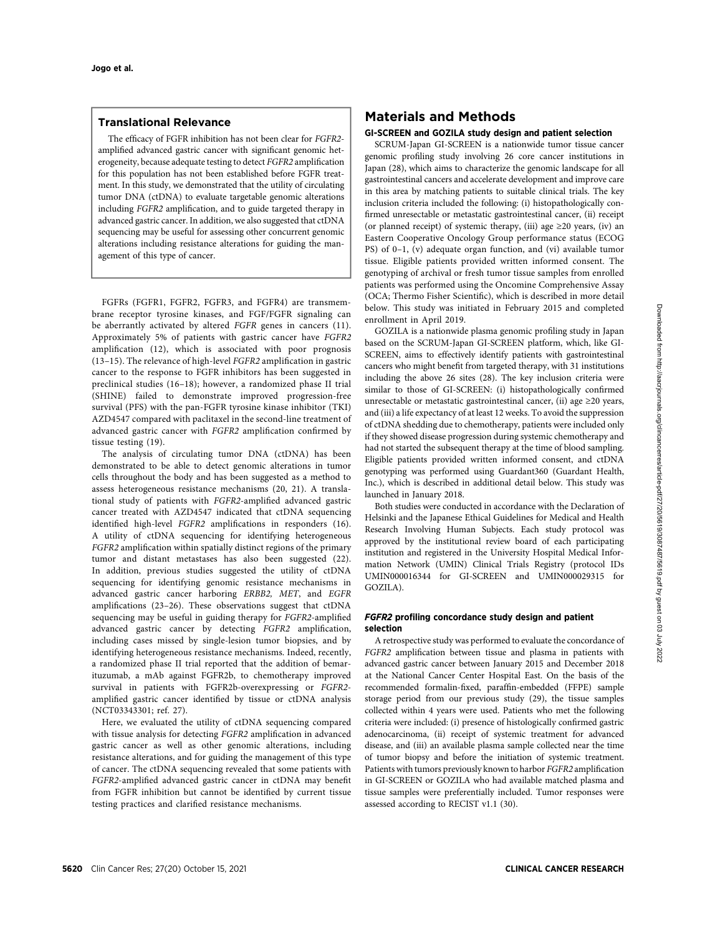## Translational Relevance

The efficacy of FGFR inhibition has not been clear for FGFR2 amplified advanced gastric cancer with significant genomic heterogeneity, because adequate testing to detect FGFR2 amplification for this population has not been established before FGFR treatment. In this study, we demonstrated that the utility of circulating tumor DNA (ctDNA) to evaluate targetable genomic alterations including FGFR2 amplification, and to guide targeted therapy in advanced gastric cancer. In addition, we also suggested that ctDNA sequencing may be useful for assessing other concurrent genomic alterations including resistance alterations for guiding the management of this type of cancer.

FGFRs (FGFR1, FGFR2, FGFR3, and FGFR4) are transmembrane receptor tyrosine kinases, and FGF/FGFR signaling can be aberrantly activated by altered FGFR genes in cancers (11). Approximately 5% of patients with gastric cancer have FGFR2 amplification (12), which is associated with poor prognosis (13–15). The relevance of high-level FGFR2 amplification in gastric cancer to the response to FGFR inhibitors has been suggested in preclinical studies (16–18); however, a randomized phase II trial (SHINE) failed to demonstrate improved progression-free survival (PFS) with the pan-FGFR tyrosine kinase inhibitor (TKI) AZD4547 compared with paclitaxel in the second-line treatment of advanced gastric cancer with FGFR2 amplification confirmed by tissue testing (19).

The analysis of circulating tumor DNA (ctDNA) has been demonstrated to be able to detect genomic alterations in tumor cells throughout the body and has been suggested as a method to assess heterogeneous resistance mechanisms (20, 21). A translational study of patients with FGFR2-amplified advanced gastric cancer treated with AZD4547 indicated that ctDNA sequencing identified high-level FGFR2 amplifications in responders (16). A utility of ctDNA sequencing for identifying heterogeneous FGFR2 amplification within spatially distinct regions of the primary tumor and distant metastases has also been suggested (22). In addition, previous studies suggested the utility of ctDNA sequencing for identifying genomic resistance mechanisms in advanced gastric cancer harboring ERBB2, MET, and EGFR amplifications (23–26). These observations suggest that ctDNA sequencing may be useful in guiding therapy for FGFR2-amplified advanced gastric cancer by detecting FGFR2 amplification, including cases missed by single-lesion tumor biopsies, and by identifying heterogeneous resistance mechanisms. Indeed, recently, a randomized phase II trial reported that the addition of bemarituzumab, a mAb against FGFR2b, to chemotherapy improved survival in patients with FGFR2b-overexpressing or FGFR2 amplified gastric cancer identified by tissue or ctDNA analysis (NCT03343301; ref. 27).

Here, we evaluated the utility of ctDNA sequencing compared with tissue analysis for detecting FGFR2 amplification in advanced gastric cancer as well as other genomic alterations, including resistance alterations, and for guiding the management of this type of cancer. The ctDNA sequencing revealed that some patients with FGFR2-amplified advanced gastric cancer in ctDNA may benefit from FGFR inhibition but cannot be identified by current tissue testing practices and clarified resistance mechanisms.

# Materials and Methods

#### GI-SCREEN and GOZILA study design and patient selection

SCRUM-Japan GI-SCREEN is a nationwide tumor tissue cancer genomic profiling study involving 26 core cancer institutions in Japan (28), which aims to characterize the genomic landscape for all gastrointestinal cancers and accelerate development and improve care in this area by matching patients to suitable clinical trials. The key inclusion criteria included the following: (i) histopathologically confirmed unresectable or metastatic gastrointestinal cancer, (ii) receipt (or planned receipt) of systemic therapy, (iii) age  $\geq$ 20 years, (iv) an Eastern Cooperative Oncology Group performance status (ECOG PS) of 0-1, (v) adequate organ function, and (vi) available tumor tissue. Eligible patients provided written informed consent. The genotyping of archival or fresh tumor tissue samples from enrolled patients was performed using the Oncomine Comprehensive Assay (OCA; Thermo Fisher Scientific), which is described in more detail below. This study was initiated in February 2015 and completed enrollment in April 2019.

GOZILA is a nationwide plasma genomic profiling study in Japan based on the SCRUM-Japan GI-SCREEN platform, which, like GI-SCREEN, aims to effectively identify patients with gastrointestinal cancers who might benefit from targeted therapy, with 31 institutions including the above 26 sites (28). The key inclusion criteria were similar to those of GI-SCREEN: (i) histopathologically confirmed unresectable or metastatic gastrointestinal cancer, (ii) age  $\geq$ 20 years, and (iii) a life expectancy of at least 12 weeks. To avoid the suppression of ctDNA shedding due to chemotherapy, patients were included only if they showed disease progression during systemic chemotherapy and had not started the subsequent therapy at the time of blood sampling. Eligible patients provided written informed consent, and ctDNA genotyping was performed using Guardant360 (Guardant Health, Inc.), which is described in additional detail below. This study was launched in January 2018.

Both studies were conducted in accordance with the Declaration of Helsinki and the Japanese Ethical Guidelines for Medical and Health Research Involving Human Subjects. Each study protocol was approved by the institutional review board of each participating institution and registered in the University Hospital Medical Information Network (UMIN) Clinical Trials Registry (protocol IDs UMIN000016344 for GI-SCREEN and UMIN000029315 for GOZILA).

#### FGFR2 profiling concordance study design and patient selection

A retrospective study was performed to evaluate the concordance of FGFR2 amplification between tissue and plasma in patients with advanced gastric cancer between January 2015 and December 2018 at the National Cancer Center Hospital East. On the basis of the recommended formalin-fixed, paraffin-embedded (FFPE) sample storage period from our previous study (29), the tissue samples collected within 4 years were used. Patients who met the following criteria were included: (i) presence of histologically confirmed gastric adenocarcinoma, (ii) receipt of systemic treatment for advanced disease, and (iii) an available plasma sample collected near the time of tumor biopsy and before the initiation of systemic treatment. Patients with tumors previously known to harbor FGFR2 amplification in GI-SCREEN or GOZILA who had available matched plasma and tissue samples were preferentially included. Tumor responses were assessed according to RECIST v1.1 (30).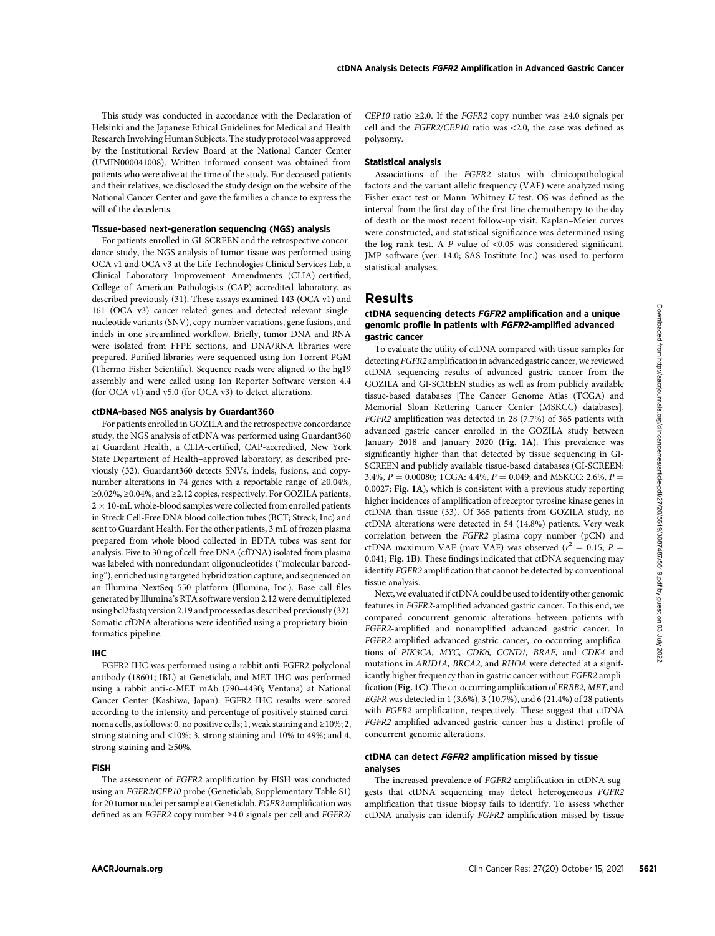This study was conducted in accordance with the Declaration of Helsinki and the Japanese Ethical Guidelines for Medical and Health Research Involving Human Subjects. The study protocol was approved by the Institutional Review Board at the National Cancer Center (UMIN000041008). Written informed consent was obtained from patients who were alive at the time of the study. For deceased patients and their relatives, we disclosed the study design on the website of the National Cancer Center and gave the families a chance to express the will of the decedents.

## Tissue-based next-generation sequencing (NGS) analysis

For patients enrolled in GI-SCREEN and the retrospective concordance study, the NGS analysis of tumor tissue was performed using OCA v1 and OCA v3 at the Life Technologies Clinical Services Lab, a Clinical Laboratory Improvement Amendments (CLIA)-certified, College of American Pathologists (CAP)-accredited laboratory, as described previously (31). These assays examined 143 (OCA v1) and 161 (OCA v3) cancer-related genes and detected relevant singlenucleotide variants (SNV), copy-number variations, gene fusions, and indels in one streamlined workflow. Briefly, tumor DNA and RNA were isolated from FFPE sections, and DNA/RNA libraries were prepared. Purified libraries were sequenced using Ion Torrent PGM (Thermo Fisher Scientific). Sequence reads were aligned to the hg19 assembly and were called using Ion Reporter Software version 4.4 (for OCA v1) and v5.0 (for OCA v3) to detect alterations.

#### ctDNA-based NGS analysis by Guardant360

For patients enrolled in GOZILA and the retrospective concordance study, the NGS analysis of ctDNA was performed using Guardant360 at Guardant Health, a CLIA-certified, CAP-accredited, New York State Department of Health–approved laboratory, as described previously (32). Guardant360 detects SNVs, indels, fusions, and copynumber alterations in 74 genes with a reportable range of ≥0.04%, ≥0.02%, ≥0.04%, and ≥2.12 copies, respectively. For GOZILA patients,  $2\times10$ -mL whole-blood samples were collected from enrolled patients in Streck Cell-Free DNA blood collection tubes (BCT; Streck, Inc) and sent to Guardant Health. For the other patients, 3 mL of frozen plasma prepared from whole blood collected in EDTA tubes was sent for analysis. Five to 30 ng of cell-free DNA (cfDNA) isolated from plasma was labeled with nonredundant oligonucleotides ("molecular barcoding"), enriched using targeted hybridization capture, and sequenced on an Illumina NextSeq 550 platform (Illumina, Inc.). Base call files generated by Illumina's RTA software version 2.12 were demultiplexed using bcl2fastq version 2.19 and processed as described previously (32). Somatic cfDNA alterations were identified using a proprietary bioinformatics pipeline.

#### IHC

FGFR2 IHC was performed using a rabbit anti-FGFR2 polyclonal antibody (18601; IBL) at Geneticlab, and MET IHC was performed using a rabbit anti-c-MET mAb (790–4430; Ventana) at National Cancer Center (Kashiwa, Japan). FGFR2 IHC results were scored according to the intensity and percentage of positively stained carcinoma cells, as follows: 0, no positive cells; 1, weak staining and ≥10%; 2, strong staining and <10%; 3, strong staining and 10% to 49%; and 4, strong staining and ≥50%.

#### FISH

The assessment of FGFR2 amplification by FISH was conducted using an FGFR2/CEP10 probe (Geneticlab; Supplementary Table S1) for 20 tumor nuclei per sample at Geneticlab. FGFR2 amplification was defined as an FGFR2 copy number ≥4.0 signals per cell and FGFR2/ CEP10 ratio ≥2.0. If the FGFR2 copy number was  $\geq 4.0$  signals per cell and the FGFR2/CEP10 ratio was <2.0, the case was defined as polysomy.

#### Statistical analysis

Associations of the FGFR2 status with clinicopathological factors and the variant allelic frequency (VAF) were analyzed using Fisher exact test or Mann–Whitney U test. OS was defined as the interval from the first day of the first-line chemotherapy to the day of death or the most recent follow-up visit. Kaplan–Meier curves were constructed, and statistical significance was determined using the log-rank test. A P value of <0.05 was considered significant. JMP software (ver. 14.0; SAS Institute Inc.) was used to perform statistical analyses.

# Results

#### ctDNA sequencing detects FGFR2 amplification and a unique genomic profile in patients with FGFR2-amplified advanced gastric cancer

To evaluate the utility of ctDNA compared with tissue samples for detecting FGFR2 amplification in advanced gastric cancer, we reviewed ctDNA sequencing results of advanced gastric cancer from the GOZILA and GI-SCREEN studies as well as from publicly available tissue-based databases [The Cancer Genome Atlas (TCGA) and Memorial Sloan Kettering Cancer Center (MSKCC) databases]. FGFR2 amplification was detected in 28 (7.7%) of 365 patients with advanced gastric cancer enrolled in the GOZILA study between January 2018 and January 2020 (Fig. 1A). This prevalence was significantly higher than that detected by tissue sequencing in GI-SCREEN and publicly available tissue-based databases (GI-SCREEN: 3.4%,  $P = 0.00080$ ; TCGA: 4.4%,  $P = 0.049$ ; and MSKCC: 2.6%,  $P =$ 0.0027; Fig. 1A), which is consistent with a previous study reporting higher incidences of amplification of receptor tyrosine kinase genes in ctDNA than tissue (33). Of 365 patients from GOZILA study, no ctDNA alterations were detected in 54 (14.8%) patients. Very weak correlation between the FGFR2 plasma copy number (pCN) and ctDNA maximum VAF (max VAF) was observed ( $r^2 = 0.15$ ; P = 0.041; Fig. 1B). These findings indicated that ctDNA sequencing may identify FGFR2 amplification that cannot be detected by conventional tissue analysis. Li (Click or clincance metallic states and the **clincancer Clincipal Cancer Res** 27(20) October 16, 2021 5621Downloaded and a million of the clincancerres are client of the clinical dimension of the states of the clinical

Next, we evaluated if ctDNA could be used to identify other genomic features in FGFR2-amplified advanced gastric cancer. To this end, we compared concurrent genomic alterations between patients with FGFR2-amplified and nonamplified advanced gastric cancer. In FGFR2-amplified advanced gastric cancer, co-occurring amplifications of PIK3CA, MYC, CDK6, CCND1, BRAF, and CDK4 and mutations in ARID1A, BRCA2, and RHOA were detected at a significantly higher frequency than in gastric cancer without FGFR2 amplification (Fig. 1C). The co-occurring amplification of ERBB2, MET, and EGFR was detected in 1 (3.6%), 3 (10.7%), and 6 (21.4%) of 28 patients with FGFR2 amplification, respectively. These suggest that ctDNA FGFR2-amplified advanced gastric cancer has a distinct profile of concurrent genomic alterations.

#### ctDNA can detect FGFR2 amplification missed by tissue analyses

The increased prevalence of FGFR2 amplification in ctDNA suggests that ctDNA sequencing may detect heterogeneous FGFR2 amplification that tissue biopsy fails to identify. To assess whether ctDNA analysis can identify FGFR2 amplification missed by tissue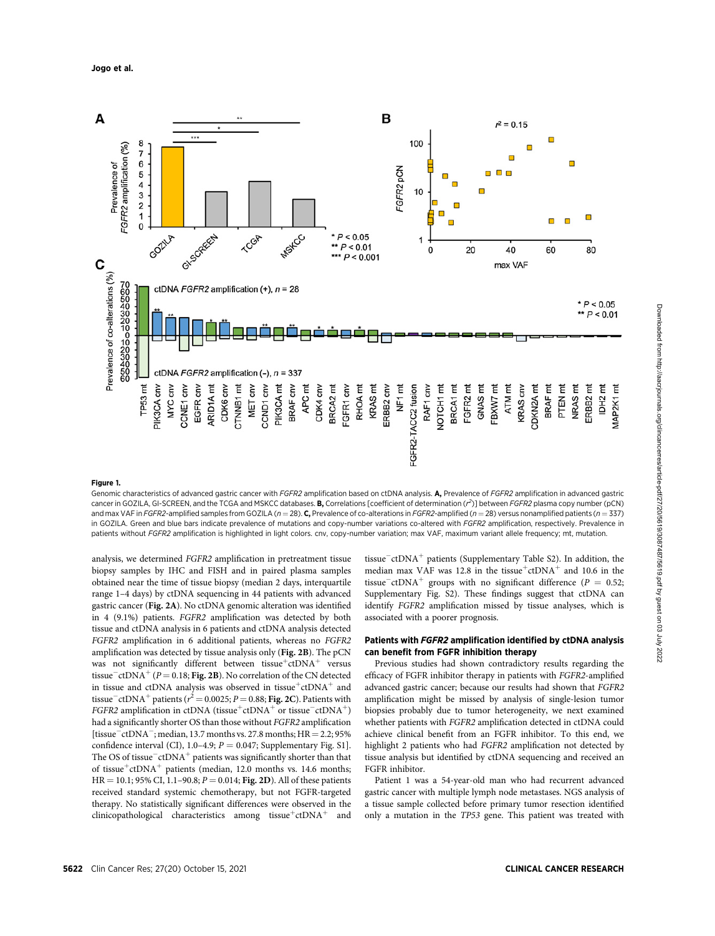

#### Figure 1.

Genomic characteristics of advanced gastric cancer with FGFR2 amplification based on ctDNA analysis. A, Prevalence of FGFR2 amplification in advanced gastric cancer in GOZILA, GI-SCREEN, and the TCGA and MSKCC databases. **B,** Correlations [coefficient of determination  $(r^2)$ ] between FGFR2 plasma copy number (pCN) and max VAF in FGFR2-amplified samples from GOZILA ( $n = 28$ ). C, Prevalence of co-alterations in FGFR2-amplified ( $n = 28$ ) versus nonamplified patients ( $n = 337$ ) in GOZILA. Green and blue bars indicate prevalence of mutations and copy-number variations co-altered with FGFR2 amplification, respectively. Prevalence in patients without FGFR2 amplification is highlighted in light colors. cnv, copy-number variation; max VAF, maximum variant allele frequency; mt, mutation.

analysis, we determined FGFR2 amplification in pretreatment tissue biopsy samples by IHC and FISH and in paired plasma samples obtained near the time of tissue biopsy (median 2 days, interquartile range 1–4 days) by ctDNA sequencing in 44 patients with advanced gastric cancer (Fig. 2A). No ctDNA genomic alteration was identified in 4 (9.1%) patients. FGFR2 amplification was detected by both tissue and ctDNA analysis in 6 patients and ctDNA analysis detected FGFR2 amplification in 6 additional patients, whereas no FGFR2 amplification was detected by tissue analysis only (Fig. 2B). The pCN was not significantly different between tissue<sup>+</sup>ctDNA<sup>+</sup> versus tissue<sup>-</sup>ctDNA<sup>+</sup> (P = 0.18; Fig. 2B). No correlation of the CN detected in tissue and ctDNA analysis was observed in tissue<sup>+</sup>ctDNA<sup>+</sup> and tissue $\bar{\ }$  ctDNA<sup>+</sup> patients ( $r^2 = 0.0025; P = 0.88;$  **Fig. 2C**). Patients with FGFR2 amplification in ctDNA (tissue<sup>+</sup>ctDNA<sup>+</sup> or tissue<sup>-ctDNA<sup>+</sup>)</sup> had a significantly shorter OS than those without FGFR2 amplification [tissue<sup>-</sup>ctDNA<sup>-</sup>; median, 13.7 months vs. 27.8 months;  $HR = 2.2$ ; 95% confidence interval (CI), 1.0–4.9;  $P = 0.047$ ; Supplementary Fig. S1]. The OS of tissue $-$ ctDNA<sup>+</sup> patients was significantly shorter than that of tissue<sup>+</sup>ctDNA<sup>+</sup> patients (median, 12.0 months vs. 14.6 months;  $HR = 10.1$ ; 95% CI, 1.1–90.8;  $P = 0.014$ ; Fig. 2D). All of these patients received standard systemic chemotherapy, but not FGFR-targeted therapy. No statistically significant differences were observed in the clinicopathological characteristics among tissue<sup>+</sup>ctDNA<sup>+</sup> and tissue $\bar{c}$ ctDNA<sup>+</sup> patients (Supplementary Table S2). In addition, the median max VAF was 12.8 in the tissue<sup>+</sup>ctDNA<sup>+</sup> and 10.6 in the tissue<sup>-</sup>ctDNA<sup>+</sup> groups with no significant difference ( $P = 0.52$ ; Supplementary Fig. S2). These findings suggest that ctDNA can identify FGFR2 amplification missed by tissue analyses, which is associated with a poorer prognosis.

#### Patients with FGFR2 amplification identified by ctDNA analysis can benefit from FGFR inhibition therapy

Previous studies had shown contradictory results regarding the efficacy of FGFR inhibitor therapy in patients with FGFR2-amplified advanced gastric cancer; because our results had shown that FGFR2 amplification might be missed by analysis of single-lesion tumor biopsies probably due to tumor heterogeneity, we next examined whether patients with FGFR2 amplification detected in ctDNA could achieve clinical benefit from an FGFR inhibitor. To this end, we highlight 2 patients who had FGFR2 amplification not detected by tissue analysis but identified by ctDNA sequencing and received an FGFR inhibitor.

Patient 1 was a 54-year-old man who had recurrent advanced gastric cancer with multiple lymph node metastases. NGS analysis of a tissue sample collected before primary tumor resection identified only a mutation in the TP53 gene. This patient was treated with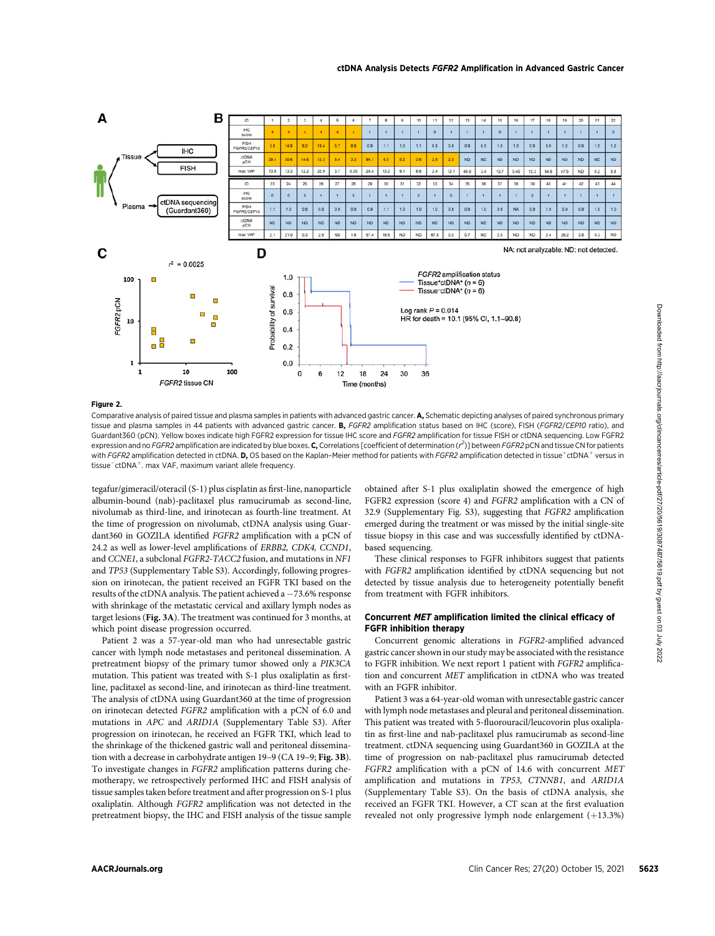

#### Figure 2.

Comparative analysis of paired tissue and plasma samples in patients with advanced gastric cancer. A, Schematic depicting analyses of paired synchronous primary tissue and plasma samples in 44 patients with advanced gastric cancer. **B.** FGFR2 amplification status based on IHC (score), FISH (FGFR2/CEP10 ratio), and Guardant360 (pCN). Yellow boxes indicate high FGFR2 expression for tissue IHC score and FGFR2 amplification for tissue FISH or ctDNA sequencing. Low FGFR2 expression and no FGFR2 amplification are indicated by blue boxes. C, Correlations [coefficient of determination (r<sup>2</sup>)] between FGFR2 pCN and tissue CN for patients with FGFR2 amplification detected in ctDNA. D, OS based on the Kaplan-Meier method for patients with FGFR2 amplification detected in tissue<sup>+</sup>ctDNA<sup>+</sup> versus in tissue<sup>-</sup>ctDNA<sup>+</sup>. max VAF, maximum variant allele frequency.

tegafur/gimeracil/oteracil (S-1) plus cisplatin as first-line, nanoparticle albumin-bound (nab)-paclitaxel plus ramucirumab as second-line, nivolumab as third-line, and irinotecan as fourth-line treatment. At the time of progression on nivolumab, ctDNA analysis using Guardant360 in GOZILA identified FGFR2 amplification with a pCN of 24.2 as well as lower-level amplifications of ERBB2, CDK4, CCND1, and CCNE1, a subclonal FGFR2-TACC2 fusion, and mutations in NF1 and TP53 (Supplementary Table S3). Accordingly, following progression on irinotecan, the patient received an FGFR TKI based on the results of the ctDNA analysis. The patient achieved a  $-73.6\%$  response with shrinkage of the metastatic cervical and axillary lymph nodes as target lesions (Fig. 3A). The treatment was continued for 3 months, at which point disease progression occurred.

Patient 2 was a 57-year-old man who had unresectable gastric cancer with lymph node metastases and peritoneal dissemination. A pretreatment biopsy of the primary tumor showed only a PIK3CA mutation. This patient was treated with S-1 plus oxaliplatin as firstline, paclitaxel as second-line, and irinotecan as third-line treatment. The analysis of ctDNA using Guardant360 at the time of progression on irinotecan detected FGFR2 amplification with a pCN of 6.0 and mutations in APC and ARID1A (Supplementary Table S3). After progression on irinotecan, he received an FGFR TKI, which lead to the shrinkage of the thickened gastric wall and peritoneal dissemination with a decrease in carbohydrate antigen 19–9 (CA 19–9; Fig. 3B). To investigate changes in FGFR2 amplification patterns during chemotherapy, we retrospectively performed IHC and FISH analysis of tissue samples taken before treatment and after progression on S-1 plus oxaliplatin. Although FGFR2 amplification was not detected in the pretreatment biopsy, the IHC and FISH analysis of the tissue sample obtained after S-1 plus oxaliplatin showed the emergence of high FGFR2 expression (score 4) and FGFR2 amplification with a CN of 32.9 (Supplementary Fig. S3), suggesting that FGFR2 amplification emerged during the treatment or was missed by the initial single-site tissue biopsy in this case and was successfully identified by ctDNAbased sequencing.

These clinical responses to FGFR inhibitors suggest that patients with FGFR2 amplification identified by ctDNA sequencing but not detected by tissue analysis due to heterogeneity potentially benefit from treatment with FGFR inhibitors.

#### Concurrent MET amplification limited the clinical efficacy of FGFR inhibition therapy

Concurrent genomic alterations in FGFR2-amplified advanced gastric cancer shown in our study may be associated with the resistance to FGFR inhibition. We next report 1 patient with FGFR2 amplification and concurrent MET amplification in ctDNA who was treated with an FGFR inhibitor.

Patient 3 was a 64-year-old woman with unresectable gastric cancer with lymph node metastases and pleural and peritoneal dissemination. This patient was treated with 5-fluorouracil/leucovorin plus oxaliplatin as first-line and nab-paclitaxel plus ramucirumab as second-line treatment. ctDNA sequencing using Guardant360 in GOZILA at the time of progression on nab-paclitaxel plus ramucirumab detected FGFR2 amplification with a pCN of 14.6 with concurrent MET amplification and mutations in TP53, CTNNB1, and ARID1A (Supplementary Table S3). On the basis of ctDNA analysis, she received an FGFR TKI. However, a CT scan at the first evaluation revealed not only progressive lymph node enlargement  $(+13.3%)$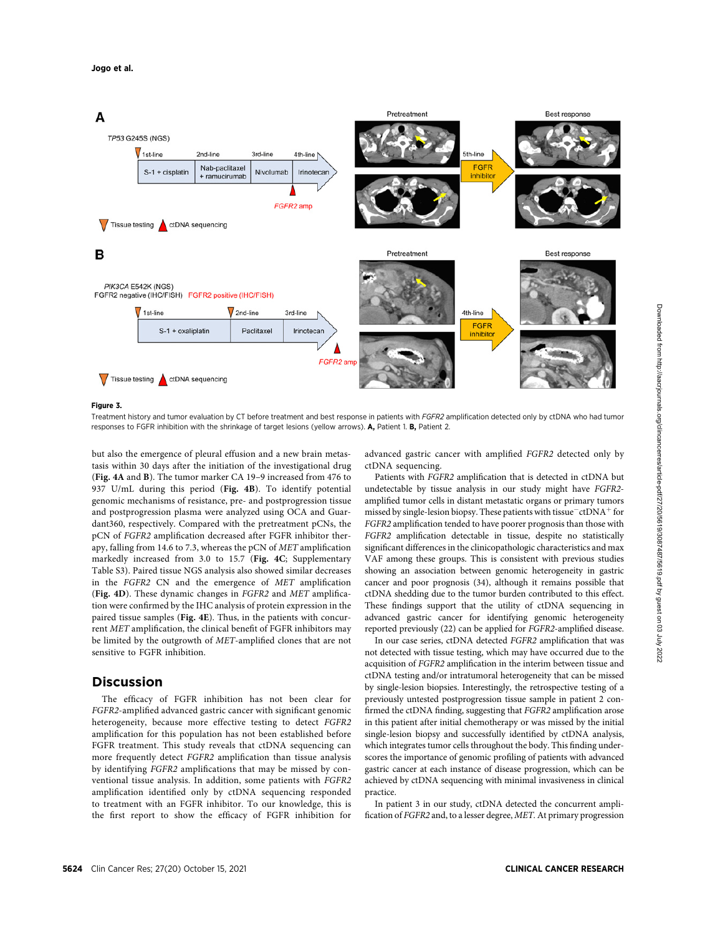

#### Figure 3.

Treatment history and tumor evaluation by CT before treatment and best response in patients with FGFR2 amplification detected only by ctDNA who had tumor responses to FGFR inhibition with the shrinkage of target lesions (yellow arrows). A, Patient 1. B, Patient 2.

but also the emergence of pleural effusion and a new brain metastasis within 30 days after the initiation of the investigational drug (Fig. 4A and B). The tumor marker CA 19–9 increased from 476 to 937 U/mL during this period (Fig. 4B). To identify potential genomic mechanisms of resistance, pre- and postprogression tissue and postprogression plasma were analyzed using OCA and Guardant360, respectively. Compared with the pretreatment pCNs, the pCN of FGFR2 amplification decreased after FGFR inhibitor therapy, falling from 14.6 to 7.3, whereas the pCN of MET amplification markedly increased from 3.0 to 15.7 (Fig. 4C; Supplementary Table S3). Paired tissue NGS analysis also showed similar decreases in the FGFR2 CN and the emergence of MET amplification (Fig. 4D). These dynamic changes in FGFR2 and MET amplification were confirmed by the IHC analysis of protein expression in the paired tissue samples (Fig. 4E). Thus, in the patients with concurrent MET amplification, the clinical benefit of FGFR inhibitors may be limited by the outgrowth of MET-amplified clones that are not sensitive to FGFR inhibition.

# **Discussion**

The efficacy of FGFR inhibition has not been clear for FGFR2-amplified advanced gastric cancer with significant genomic heterogeneity, because more effective testing to detect FGFR2 amplification for this population has not been established before FGFR treatment. This study reveals that ctDNA sequencing can more frequently detect FGFR2 amplification than tissue analysis by identifying FGFR2 amplifications that may be missed by conventional tissue analysis. In addition, some patients with FGFR2 amplification identified only by ctDNA sequencing responded to treatment with an FGFR inhibitor. To our knowledge, this is the first report to show the efficacy of FGFR inhibition for advanced gastric cancer with amplified FGFR2 detected only by ctDNA sequencing.

Patients with FGFR2 amplification that is detected in ctDNA but undetectable by tissue analysis in our study might have FGFR2 amplified tumor cells in distant metastatic organs or primary tumors missed by single-lesion biopsy. These patients with tissue $^-$ ctDNA<sup>+</sup> for FGFR2 amplification tended to have poorer prognosis than those with FGFR2 amplification detectable in tissue, despite no statistically significant differences in the clinicopathologic characteristics and max VAF among these groups. This is consistent with previous studies showing an association between genomic heterogeneity in gastric cancer and poor prognosis (34), although it remains possible that ctDNA shedding due to the tumor burden contributed to this effect. These findings support that the utility of ctDNA sequencing in advanced gastric cancer for identifying genomic heterogeneity reported previously (22) can be applied for FGFR2-amplified disease.

In our case series, ctDNA detected FGFR2 amplification that was not detected with tissue testing, which may have occurred due to the acquisition of FGFR2 amplification in the interim between tissue and ctDNA testing and/or intratumoral heterogeneity that can be missed by single-lesion biopsies. Interestingly, the retrospective testing of a previously untested postprogression tissue sample in patient 2 confirmed the ctDNA finding, suggesting that FGFR2 amplification arose in this patient after initial chemotherapy or was missed by the initial single-lesion biopsy and successfully identified by ctDNA analysis, which integrates tumor cells throughout the body. This finding underscores the importance of genomic profiling of patients with advanced gastric cancer at each instance of disease progression, which can be achieved by ctDNA sequencing with minimal invasiveness in clinical practice.

In patient 3 in our study, ctDNA detected the concurrent amplification of FGFR2 and, to a lesser degree, MET.At primary progression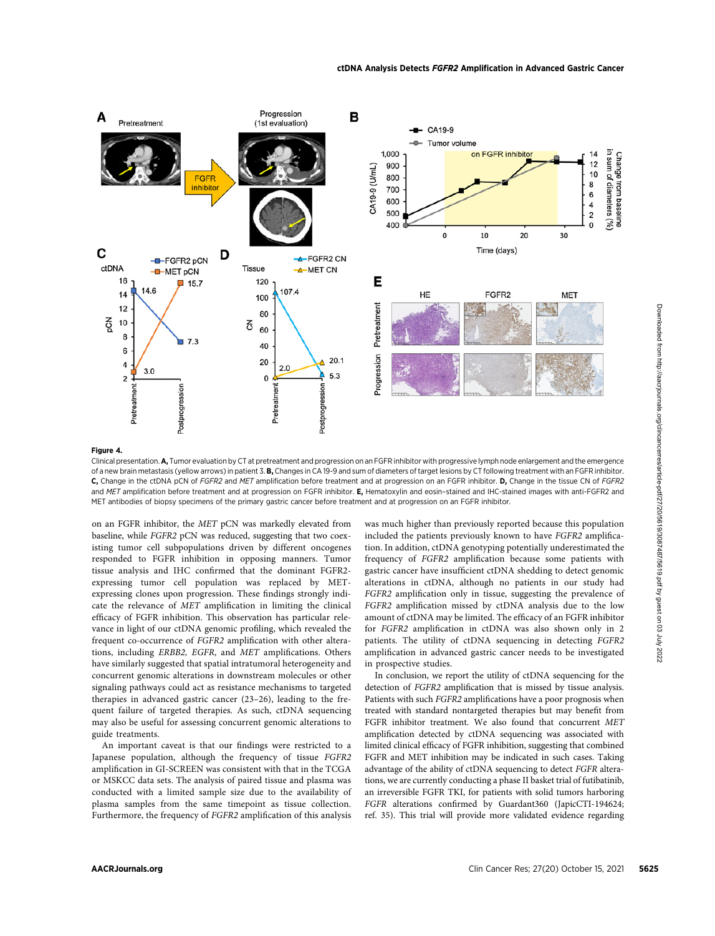

#### Figure 4.

Clinical presentation. A, Tumor evaluation by CT at pretreatment and progression on an FGFR inhibitor with progressive lymph node enlargement and the emergence of a new brain metastasis (yellow arrows) in patient 3. B, Changes in CA 19-9 and sum of diameters of target lesions by CT following treatment with an FGFR inhibitor. C, Change in the ctDNA pCN of FGFR2 and MET amplification before treatment and at progression on an FGFR inhibitor. D, Change in the tissue CN of FGFR2 and MET amplification before treatment and at progression on FGFR inhibitor. E, Hematoxylin and eosin-stained and IHC-stained images with anti-FGFR2 and MET antibodies of biopsy specimens of the primary gastric cancer before treatment and at progression on an FGFR inhibitor.

on an FGFR inhibitor, the MET pCN was markedly elevated from baseline, while FGFR2 pCN was reduced, suggesting that two coexisting tumor cell subpopulations driven by different oncogenes responded to FGFR inhibition in opposing manners. Tumor tissue analysis and IHC confirmed that the dominant FGFR2 expressing tumor cell population was replaced by METexpressing clones upon progression. These findings strongly indicate the relevance of MET amplification in limiting the clinical efficacy of FGFR inhibition. This observation has particular relevance in light of our ctDNA genomic profiling, which revealed the frequent co-occurrence of FGFR2 amplification with other alterations, including ERBB2, EGFR, and MET amplifications. Others have similarly suggested that spatial intratumoral heterogeneity and concurrent genomic alterations in downstream molecules or other signaling pathways could act as resistance mechanisms to targeted therapies in advanced gastric cancer (23–26), leading to the frequent failure of targeted therapies. As such, ctDNA sequencing may also be useful for assessing concurrent genomic alterations to guide treatments.

An important caveat is that our findings were restricted to a Japanese population, although the frequency of tissue FGFR2 amplification in GI-SCREEN was consistent with that in the TCGA or MSKCC data sets. The analysis of paired tissue and plasma was conducted with a limited sample size due to the availability of plasma samples from the same timepoint as tissue collection. Furthermore, the frequency of FGFR2 amplification of this analysis was much higher than previously reported because this population included the patients previously known to have FGFR2 amplification. In addition, ctDNA genotyping potentially underestimated the frequency of FGFR2 amplification because some patients with gastric cancer have insufficient ctDNA shedding to detect genomic alterations in ctDNA, although no patients in our study had FGFR2 amplification only in tissue, suggesting the prevalence of FGFR2 amplification missed by ctDNA analysis due to the low amount of ctDNA may be limited. The efficacy of an FGFR inhibitor for FGFR2 amplification in ctDNA was also shown only in 2 patients. The utility of ctDNA sequencing in detecting FGFR2 amplification in advanced gastric cancer needs to be investigated in prospective studies.

In conclusion, we report the utility of ctDNA sequencing for the detection of FGFR2 amplification that is missed by tissue analysis. Patients with such FGFR2 amplifications have a poor prognosis when treated with standard nontargeted therapies but may benefit from FGFR inhibitor treatment. We also found that concurrent MET amplification detected by ctDNA sequencing was associated with limited clinical efficacy of FGFR inhibition, suggesting that combined FGFR and MET inhibition may be indicated in such cases. Taking advantage of the ability of ctDNA sequencing to detect FGFR alterations, we are currently conducting a phase II basket trial of futibatinib, an irreversible FGFR TKI, for patients with solid tumors harboring FGFR alterations confirmed by Guardant360 (JapicCTI-194624; ref. 35). This trial will provide more validated evidence regarding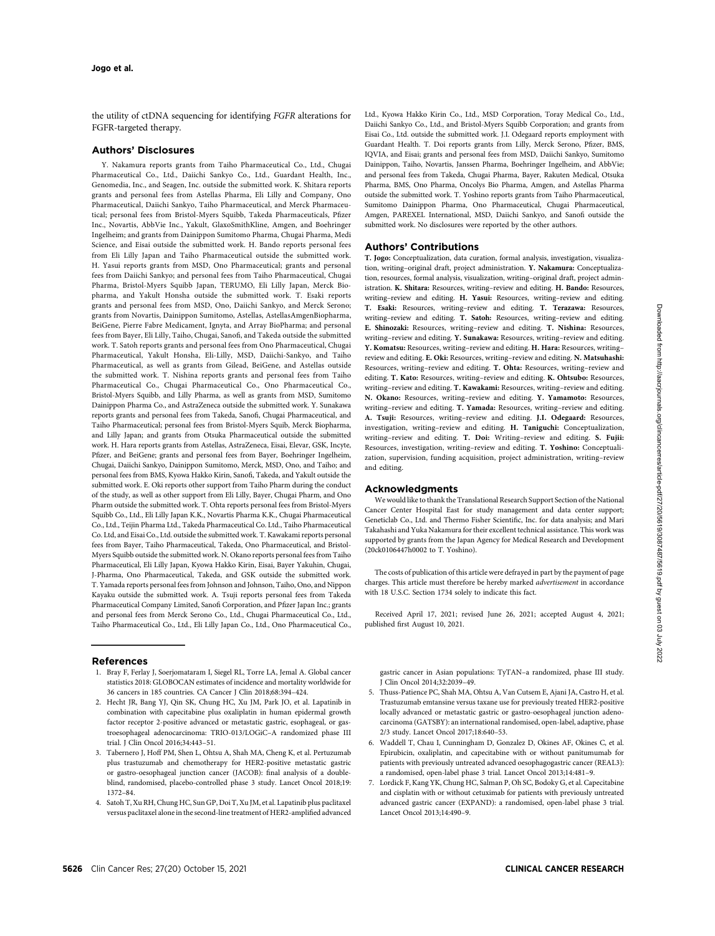the utility of ctDNA sequencing for identifying FGFR alterations for FGFR-targeted therapy.

#### Authors' Disclosures

Y. Nakamura reports grants from Taiho Pharmaceutical Co., Ltd., Chugai Pharmaceutical Co., Ltd., Daiichi Sankyo Co., Ltd., Guardant Health, Inc., Genomedia, Inc., and Seagen, Inc. outside the submitted work. K. Shitara reports grants and personal fees from Astellas Pharma, Eli Lilly and Company, Ono Pharmaceutical, Daiichi Sankyo, Taiho Pharmaceutical, and Merck Pharmaceutical; personal fees from Bristol-Myers Squibb, Takeda Pharmaceuticals, Pfizer Inc., Novartis, AbbVie Inc., Yakult, GlaxoSmithKline, Amgen, and Boehringer Ingelheim; and grants from Dainippon Sumitomo Pharma, Chugai Pharma, Medi Science, and Eisai outside the submitted work. H. Bando reports personal fees from Eli Lilly Japan and Taiho Pharmaceutical outside the submitted work. H. Yasui reports grants from MSD, Ono Pharmaceutical; grants and personal fees from Daiichi Sankyo; and personal fees from Taiho Pharmaceutical, Chugai Pharma, Bristol-Myers Squibb Japan, TERUMO, Eli Lilly Japan, Merck Biopharma, and Yakult Honsha outside the submitted work. T. Esaki reports grants and personal fees from MSD, Ono, Daiichi Sankyo, and Merck Serono; grants from Novartis, Dainippon Sumitomo, Astellas, AstellasAmgenBiopharma, BeiGene, Pierre Fabre Medicament, Ignyta, and Array BioPharma; and personal fees from Bayer, Eli Lilly, Taiho, Chugai, Sanofi, and Takeda outside the submitted work. T. Satoh reports grants and personal fees from Ono Pharmaceutical, Chugai Pharmaceutical, Yakult Honsha, Eli-Lilly, MSD, Daiichi-Sankyo, and Taiho Pharmaceutical, as well as grants from Gilead, BeiGene, and Astellas outside the submitted work. T. Nishina reports grants and personal fees from Taiho Pharmaceutical Co., Chugai Pharmaceutical Co., Ono Pharmaceutical Co., Bristol-Myers Squibb, and Lilly Pharma, as well as grants from MSD, Sumitomo Dainippon Pharma Co., and AstraZeneca outside the submitted work. Y. Sunakawa reports grants and personal fees from Takeda, Sanofi, Chugai Pharmaceutical, and Taiho Pharmaceutical; personal fees from Bristol-Myers Squib, Merck Biopharma, and Lilly Japan; and grants from Otsuka Pharmaceutical outside the submitted work. H. Hara reports grants from Astellas, AstraZeneca, Eisai, Elevar, GSK, Incyte, Pfizer, and BeiGene; grants and personal fees from Bayer, Boehringer Ingelheim, Chugai, Daiichi Sankyo, Dainippon Sumitomo, Merck, MSD, Ono, and Taiho; and personal fees from BMS, Kyowa Hakko Kirin, Sanofi, Takeda, and Yakult outside the submitted work. E. Oki reports other support from Taiho Pharm during the conduct of the study, as well as other support from Eli Lilly, Bayer, Chugai Pharm, and Ono Pharm outside the submitted work. T. Ohta reports personal fees from Bristol-Myers Squibb Co., Ltd., Eli Lilly Japan K.K., Novartis Pharma K.K., Chugai Pharmaceutical Co., Ltd., Teijin Pharma Ltd., Takeda Pharmaceutical Co. Ltd., Taiho Pharmaceutical Co. Ltd, and Eisai Co., Ltd. outside the submitted work. T. Kawakami reports personal fees from Bayer, Taiho Pharmaceutical, Takeda, Ono Pharmaceutical, and Bristol-Myers Squibb outside the submitted work. N. Okano reports personal fees from Taiho Pharmaceutical, Eli Lilly Japan, Kyowa Hakko Kirin, Eisai, Bayer Yakuhin, Chugai, J-Pharma, Ono Pharmaceutical, Takeda, and GSK outside the submitted work. T. Yamada reports personal fees from Johnson and Johnson, Taiho, Ono, and Nippon Kayaku outside the submitted work. A. Tsuji reports personal fees from Takeda Pharmaceutical Company Limited, Sanofi Corporation, and Pfizer Japan Inc.; grants and personal fees from Merck Serono Co., Ltd., Chugai Pharmaceutical Co., Ltd., Taiho Pharmaceutical Co., Ltd., Eli Lilly Japan Co., Ltd., Ono Pharmaceutical Co.,

## References

- 1. Bray F, Ferlay J, Soerjomataram I, Siegel RL, Torre LA, Jemal A. Global cancer statistics 2018: GLOBOCAN estimates of incidence and mortality worldwide for 36 cancers in 185 countries. CA Cancer J Clin 2018;68:394–424.
- 2. Hecht JR, Bang YJ, Qin SK, Chung HC, Xu JM, Park JO, et al. Lapatinib in combination with capecitabine plus oxaliplatin in human epidermal growth factor receptor 2-positive advanced or metastatic gastric, esophageal, or gastroesophageal adenocarcinoma: TRIO-013/LOGiC–A randomized phase III trial. J Clin Oncol 2016;34:443–51.
- 3. Tabernero J, Hoff PM, Shen L, Ohtsu A, Shah MA, Cheng K, et al. Pertuzumab plus trastuzumab and chemotherapy for HER2-positive metastatic gastric or gastro-oesophageal junction cancer (JACOB): final analysis of a doubleblind, randomised, placebo-controlled phase 3 study. Lancet Oncol 2018;19: 1372–84.
- 4. Satoh T, Xu RH, Chung HC, Sun GP, Doi T, Xu JM, et al. Lapatinib plus paclitaxel versus paclitaxel alone in the second-line treatment of HER2-amplified advanced

Ltd., Kyowa Hakko Kirin Co., Ltd., MSD Corporation, Toray Medical Co., Ltd., Daiichi Sankyo Co., Ltd., and Bristol-Myers Squibb Corporation; and grants from Eisai Co., Ltd. outside the submitted work. J.I. Odegaard reports employment with Guardant Health. T. Doi reports grants from Lilly, Merck Serono, Pfizer, BMS, IQVIA, and Eisai; grants and personal fees from MSD, Daiichi Sankyo, Sumitomo Dainippon, Taiho, Novartis, Janssen Pharma, Boehringer Ingelheim, and AbbVie; and personal fees from Takeda, Chugai Pharma, Bayer, Rakuten Medical, Otsuka Pharma, BMS, Ono Pharma, Oncolys Bio Pharma, Amgen, and Astellas Pharma outside the submitted work. T. Yoshino reports grants from Taiho Pharmaceutical, Sumitomo Dainippon Pharma, Ono Pharmaceutical, Chugai Pharmaceutical, Amgen, PAREXEL International, MSD, Daiichi Sankyo, and Sanofi outside the submitted work. No disclosures were reported by the other authors.

#### Authors' Contributions

T. Jogo: Conceptualization, data curation, formal analysis, investigation, visualization, writing–original draft, project administration. Y. Nakamura: Conceptualization, resources, formal analysis, visualization, writing–original draft, project administration. K. Shitara: Resources, writing–review and editing. H. Bando: Resources, writing–review and editing. H. Yasui: Resources, writing–review and editing. T. Esaki: Resources, writing–review and editing. T. Terazawa: Resources, writing–review and editing. T. Satoh: Resources, writing–review and editing. E. Shinozaki: Resources, writing–review and editing. T. Nishina: Resources, writing–review and editing. Y. Sunakawa: Resources, writing–review and editing. Y. Komatsu: Resources, writing–review and editing. H. Hara: Resources, writing– review and editing. E. Oki: Resources, writing–review and editing. N. Matsuhashi: Resources, writing–review and editing. T. Ohta: Resources, writing–review and editing. T. Kato: Resources, writing–review and editing. K. Ohtsubo: Resources, writing–review and editing. T. Kawakami: Resources, writing–review and editing. N. Okano: Resources, writing–review and editing. Y. Yamamoto: Resources, writing–review and editing. T. Yamada: Resources, writing–review and editing. A. Tsuji: Resources, writing–review and editing. J.I. Odegaard: Resources, investigation, writing–review and editing. H. Taniguchi: Conceptualization, writing–review and editing. T. Doi: Writing–review and editing. S. Fujii: Resources, investigation, writing–review and editing. T. Yoshino: Conceptualization, supervision, funding acquisition, project administration, writing–review and editing.

#### Acknowledgments

We would like to thank the Translational Research Support Section of the National Cancer Center Hospital East for study management and data center support; Geneticlab Co., Ltd. and Thermo Fisher Scientific, Inc. for data analysis; and Mari Takahashi and Yuka Nakamura for their excellent technical assistance. This work was supported by grants from the Japan Agency for Medical Research and Development (20ck0106447h0002 to T. Yoshino).

The costs of publication of this article were defrayed in part by the payment of page charges. This article must therefore be hereby marked advertisement in accordance with 18 U.S.C. Section 1734 solely to indicate this fact.

Received April 17, 2021; revised June 26, 2021; accepted August 4, 2021; published first August 10, 2021.

gastric cancer in Asian populations: TyTAN–a randomized, phase III study. J Clin Oncol 2014;32:2039–49.

- 5. Thuss-Patience PC, Shah MA, Ohtsu A, Van Cutsem E, Ajani JA, Castro H, et al. Trastuzumab emtansine versus taxane use for previously treated HER2-positive locally advanced or metastatic gastric or gastro-oesophageal junction adenocarcinoma (GATSBY): an international randomised, open-label, adaptive, phase 2/3 study. Lancet Oncol 2017;18:640–53.
- 6. Waddell T, Chau I, Cunningham D, Gonzalez D, Okines AF, Okines C, et al. Epirubicin, oxaliplatin, and capecitabine with or without panitumumab for patients with previously untreated advanced oesophagogastric cancer (REAL3): a randomised, open-label phase 3 trial. Lancet Oncol 2013;14:481–9.
- 7. Lordick F, Kang YK, Chung HC, Salman P, Oh SC, Bodoky G, et al. Capecitabine and cisplatin with or without cetuximab for patients with previously untreated advanced gastric cancer (EXPAND): a randomised, open-label phase 3 trial. Lancet Oncol 2013;14:490–9.